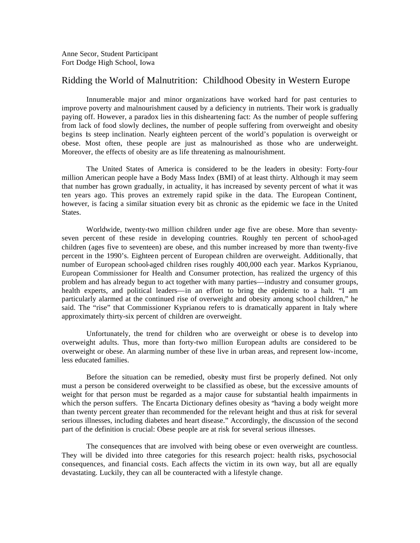## Ridding the World of Malnutrition: Childhood Obesity in Western Europe

Innumerable major and minor organizations have worked hard for past centuries to improve poverty and malnourishment caused by a deficiency in nutrients. Their work is gradually paying off. However, a paradox lies in this disheartening fact: As the number of people suffering from lack of food slowly declines, the number of people suffering from overweight and obesity begins is steep inclination. Nearly eighteen percent of the world's population is overweight or obese. Most often, these people are just as malnourished as those who are underweight. Moreover, the effects of obesity are as life threatening as malnourishment.

The United States of America is considered to be the leaders in obesity: Forty-four million American people have a Body Mass Index (BMI) of at least thirty. Although it may seem that number has grown gradually, in actuality, it has increased by seventy percent of what it was ten years ago. This proves an extremely rapid spike in the data. The European Continent, however, is facing a similar situation every bit as chronic as the epidemic we face in the United States.

Worldwide, twenty-two million children under age five are obese. More than seventyseven percent of these reside in developing countries. Roughly ten percent of school-aged children (ages five to seventeen) are obese, and this number increased by more than twenty-five percent in the 1990's. Eighteen percent of European children are overweight. Additionally, that number of European school-aged children rises roughly 400,000 each year. Markos Kyprianou, European Commissioner for Health and Consumer protection, has realized the urgency of this problem and has already begun to act together with many parties—industry and consumer groups, health experts, and political leaders—in an effort to bring the epidemic to a halt. "I am particularly alarmed at the continued rise of overweight and obesity among school children," he said. The "rise" that Commissioner Kyprianou refers to is dramatically apparent in Italy where approximately thirty-six percent of children are overweight.

Unfortunately, the trend for children who are overweight or obese is to develop into overweight adults. Thus, more than forty-two million European adults are considered to be overweight or obese. An alarming number of these live in urban areas, and represent low-income, less educated families.

Before the situation can be remedied, obesity must first be properly defined. Not only must a person be considered overweight to be classified as obese, but the excessive amounts of weight for that person must be regarded as a major cause for substantial health impairments in which the person suffers. The Encarta Dictionary defines obesity as "having a body weight more than twenty percent greater than recommended for the relevant height and thus at risk for several serious illnesses, including diabetes and heart disease." Accordingly, the discussion of the second part of the definition is crucial: Obese people are at risk for several serious illnesses.

The consequences that are involved with being obese or even overweight are countless. They will be divided into three categories for this research project: health risks, psychosocial consequences, and financial costs. Each affects the victim in its own way, but all are equally devastating. Luckily, they can all be counteracted with a lifestyle change.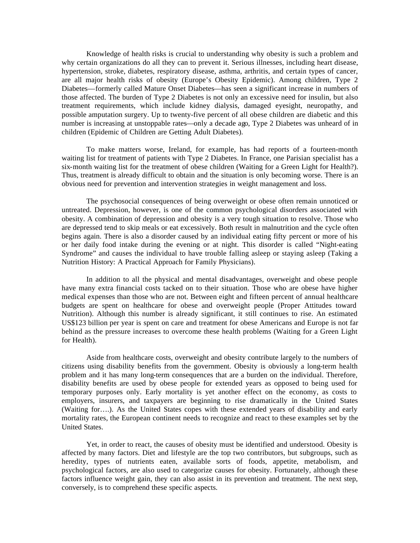Knowledge of health risks is crucial to understanding why obesity is such a problem and why certain organizations do all they can to prevent it. Serious illnesses, including heart disease, hypertension, stroke, diabetes, respiratory disease, asthma, arthritis, and certain types of cancer, are all major health risks of obesity (Europe's Obesity Epidemic). Among children, Type 2 Diabetes—formerly called Mature Onset Diabetes—has seen a significant increase in numbers of those affected. The burden of Type 2 Diabetes is not only an excessive need for insulin, but also treatment requirements, which include kidney dialysis, damaged eyesight, neuropathy, and possible amputation surgery. Up to twenty-five percent of all obese children are diabetic and this number is increasing at unstoppable rates—only a decade ago, Type 2 Diabetes was unheard of in children (Epidemic of Children are Getting Adult Diabetes).

To make matters worse, Ireland, for example, has had reports of a fourteen-month waiting list for treatment of patients with Type 2 Diabetes. In France, one Parisian specialist has a six-month waiting list for the treatment of obese children (Waiting for a Green Light for Health?). Thus, treatment is already difficult to obtain and the situation is only becoming worse. There is an obvious need for prevention and intervention strategies in weight management and loss.

The psychosocial consequences of being overweight or obese often remain unnoticed or untreated. Depression, however, is one of the common psychological disorders associated with obesity. A combination of depression and obesity is a very tough situation to resolve. Those who are depressed tend to skip meals or eat excessively. Both result in malnutrition and the cycle often begins again. There is also a disorder caused by an individual eating fifty percent or more of his or her daily food intake during the evening or at night. This disorder is called "Night-eating Syndrome" and causes the individual to have trouble falling asleep or staying asleep (Taking a Nutrition History: A Practical Approach for Family Physicians).

In addition to all the physical and mental disadvantages, overweight and obese people have many extra financial costs tacked on to their situation. Those who are obese have higher medical expenses than those who are not. Between eight and fifteen percent of annual healthcare budgets are spent on healthcare for obese and overweight people (Proper Attitudes toward Nutrition). Although this number is already significant, it still continues to rise. An estimated US\$123 billion per year is spent on care and treatment for obese Americans and Europe is not far behind as the pressure increases to overcome these health problems (Waiting for a Green Light for Health).

Aside from healthcare costs, overweight and obesity contribute largely to the numbers of citizens using disability benefits from the government. Obesity is obviously a long-term health problem and it has many long-term consequences that are a burden on the individual. Therefore, disability benefits are used by obese people for extended years as opposed to being used for temporary purposes only. Early mortality is yet another effect on the economy, as costs to employers, insurers, and taxpayers are beginning to rise dramatically in the United States (Waiting for….). As the United States copes with these extended years of disability and early mortality rates, the European continent needs to recognize and react to these examples set by the United States.

Yet, in order to react, the causes of obesity must be identified and understood. Obesity is affected by many factors. Diet and lifestyle are the top two contributors, but subgroups, such as heredity, types of nutrients eaten, available sorts of foods, appetite, metabolism, and psychological factors, are also used to categorize causes for obesity. Fortunately, although these factors influence weight gain, they can also assist in its prevention and treatment. The next step, conversely, is to comprehend these specific aspects.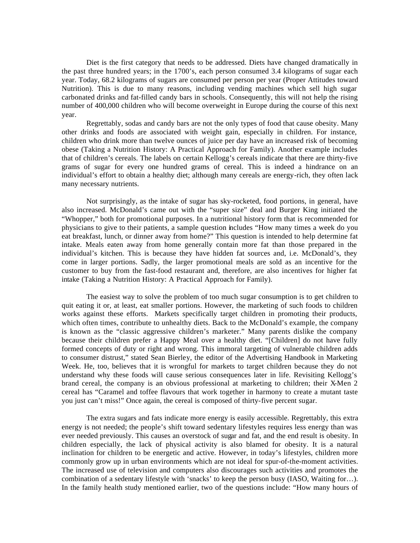Diet is the first category that needs to be addressed. Diets have changed dramatically in the past three hundred years; in the 1700's, each person consumed 3.4 kilograms of sugar each year. Today, 68.2 kilograms of sugars are consumed per person per year (Proper Attitudes toward Nutrition). This is due to many reasons, including vending machines which sell high sugar carbonated drinks and fat-filled candy bars in schools. Consequently, this will not help the rising number of 400,000 children who will become overweight in Europe during the course of this next year.

Regrettably, sodas and candy bars are not the only types of food that cause obesity. Many other drinks and foods are associated with weight gain, especially in children. For instance, children who drink more than twelve ounces of juice per day have an increased risk of becoming obese (Taking a Nutrition History: A Practical Approach for Family). Another example includes that of children's cereals. The labels on certain Kellogg's cereals indicate that there are thirty-five grams of sugar for every one hundred grams of cereal. This is indeed a hindrance on an individual's effort to obtain a healthy diet; although many cereals are energy-rich, they often lack many necessary nutrients.

Not surprisingly, as the intake of sugar has sky-rocketed, food portions, in general, have also increased. McDonald's came out with the "super size" deal and Burger King initiated the "Whopper," both for promotional purposes. In a nutritional history form that is recommended for physicians to give to their patients, a sample question includes "How many times a week do you eat breakfast, lunch, or dinner away from home?" This question is intended to help determine fat intake. Meals eaten away from home generally contain more fat than those prepared in the individual's kitchen. This is because they have hidden fat sources and, i.e. McDonald's, they come in larger portions. Sadly, the larger promotional meals are sold as an incentive for the customer to buy from the fast-food restaurant and, therefore, are also incentives for higher fat intake (Taking a Nutrition History: A Practical Approach for Family).

The easiest way to solve the problem of too much sugar consumption is to get children to quit eating it or, at least, eat smaller portions. However, the marketing of such foods to children works against these efforts. Markets specifically target children in promoting their products, which often times, contribute to unhealthy diets. Back to the McDonald's example, the company is known as the "classic aggressive children's marketer." Many parents dislike the company because their children prefer a Happy Meal over a healthy diet. "[Children] do not have fully formed concepts of duty or right and wrong. This immoral targeting of vulnerable children adds to consumer distrust," stated Sean Bierley, the editor of the Advertising Handbook in Marketing Week. He, too, believes that it is wrongful for markets to target children because they do not understand why these foods will cause serious consequences later in life. Revisiting Kellogg's brand cereal, the company is an obvious professional at marketing to children; their X-Men 2 cereal has "Caramel and toffee flavours that work together in harmony to create a mutant taste you just can't miss!" Once again, the cereal is composed of thirty-five percent sugar.

The extra sugars and fats indicate more energy is easily accessible. Regrettably, this extra energy is not needed; the people's shift toward sedentary lifestyles requires less energy than was ever needed previously. This causes an overstock of sugar and fat, and the end result is obesity. In children especially, the lack of physical activity is also blamed for obesity. It is a natural inclination for children to be energetic and active. However, in today's lifestyles, children more commonly grow up in urban environments which are not ideal for spur-of-the-moment activities. The increased use of television and computers also discourages such activities and promotes the combination of a sedentary lifestyle with 'snacks' to keep the person busy (IASO, Waiting for…). In the family health study mentioned earlier, two of the questions include: "How many hours of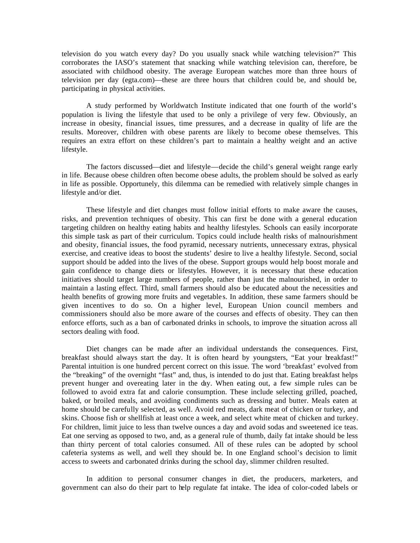television do you watch every day? Do you usually snack while watching television?" This corroborates the IASO's statement that snacking while watching television can, therefore, be associated with childhood obesity. The average European watches more than three hours of television per day (egta.com)—these are three hours that children could be, and should be, participating in physical activities.

A study performed by Worldwatch Institute indicated that one fourth of the world's population is living the lifestyle that used to be only a privilege of very few. Obviously, an increase in obesity, financial issues, time pressures, and a decrease in quality of life are the results. Moreover, children with obese parents are likely to become obese themselves. This requires an extra effort on these children's part to maintain a healthy weight and an active lifestyle.

The factors discussed—diet and lifestyle—decide the child's general weight range early in life. Because obese children often become obese adults, the problem should be solved as early in life as possible. Opportunely, this dilemma can be remedied with relatively simple changes in lifestyle and/or diet.

These lifestyle and diet changes must follow initial efforts to make aware the causes, risks, and prevention techniques of obesity. This can first be done with a general education targeting children on healthy eating habits and healthy lifestyles. Schools can easily incorporate this simple task as part of their curriculum. Topics could include health risks of malnourishment and obesity, financial issues, the food pyramid, necessary nutrients, unnecessary extras, physical exercise, and creative ideas to boost the students' desire to live a healthy lifestyle. Second, social support should be added into the lives of the obese. Support groups would help boost morale and gain confidence to change diets or lifestyles. However, it is necessary that these education initiatives should target large numbers of people, rather than just the malnourished, in order to maintain a lasting effect. Third, small farmers should also be educated about the necessities and health benefits of growing more fruits and vegetable s. In addition, these same farmers should be given incentives to do so. On a higher level, European Union council members and commissioners should also be more aware of the courses and effects of obesity. They can then enforce efforts, such as a ban of carbonated drinks in schools, to improve the situation across all sectors dealing with food.

Diet changes can be made after an individual understands the consequences. First, breakfast should always start the day. It is often heard by youngsters, "Eat your breakfast!" Parental intuition is one hundred percent correct on this issue. The word 'breakfast' evolved from the "breaking" of the overnight "fast" and, thus, is intended to do just that. Eating breakfast helps prevent hunger and overeating later in the day. When eating out, a few simple rules can be followed to avoid extra fat and calorie consumption. These include selecting grilled, poached, baked, or broiled meals, and avoiding condiments such as dressing and butter. Meals eaten at home should be carefully selected, as well. Avoid red meats, dark meat of chicken or turkey, and skins. Choose fish or shellfish at least once a week, and select white meat of chicken and turkey. For children, limit juice to less than twelve ounces a day and avoid sodas and sweetened ice teas. Eat one serving as opposed to two, and, as a general rule of thumb, daily fat intake should be less than thirty percent of total calories consumed. All of these rules can be adopted by school cafeteria systems as well, and well they should be. In one England school's decision to limit access to sweets and carbonated drinks during the school day, slimmer children resulted.

In addition to personal consumer changes in diet, the producers, marketers, and government can also do their part to help regulate fat intake. The idea of color-coded labels or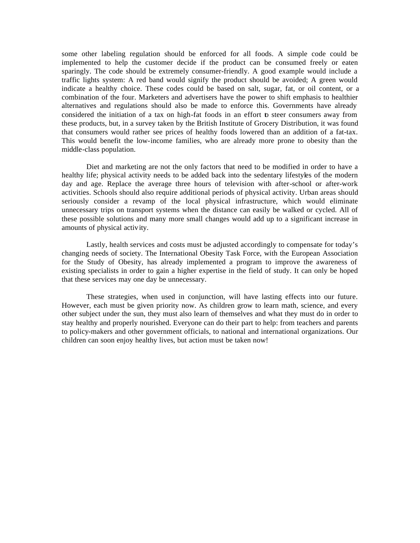some other labeling regulation should be enforced for all foods. A simple code could be implemented to help the customer decide if the product can be consumed freely or eaten sparingly. The code should be extremely consumer-friendly. A good example would include a traffic lights system: A red band would signify the product should be avoided; A green would indicate a healthy choice. These codes could be based on salt, sugar, fat, or oil content, or a combination of the four. Marketers and advertisers have the power to shift emphasis to healthier alternatives and regulations should also be made to enforce this. Governments have already considered the initiation of a tax on high-fat foods in an effort to steer consumers away from these products, but, in a survey taken by the British Institute of Grocery Distribution, it was found that consumers would rather see prices of healthy foods lowered than an addition of a fat-tax. This would benefit the low-income families, who are already more prone to obesity than the middle-class population.

Diet and marketing are not the only factors that need to be modified in order to have a healthy life; physical activity needs to be added back into the sedentary lifestyles of the modern day and age. Replace the average three hours of television with after-school or after-work activities. Schools should also require additional periods of physical activity. Urban areas should seriously consider a revamp of the local physical infrastructure, which would eliminate unnecessary trips on transport systems when the distance can easily be walked or cycled. All of these possible solutions and many more small changes would add up to a significant increase in amounts of physical activity.

Lastly, health services and costs must be adjusted accordingly to compensate for today's changing needs of society. The International Obesity Task Force, with the European Association for the Study of Obesity, has already implemented a program to improve the awareness of existing specialists in order to gain a higher expertise in the field of study. It can only be hoped that these services may one day be unnecessary.

These strategies, when used in conjunction, will have lasting effects into our future. However, each must be given priority now. As children grow to learn math, science, and every other subject under the sun, they must also learn of themselves and what they must do in order to stay healthy and properly nourished. Everyone can do their part to help: from teachers and parents to policy-makers and other government officials, to national and international organizations. Our children can soon enjoy healthy lives, but action must be taken now!